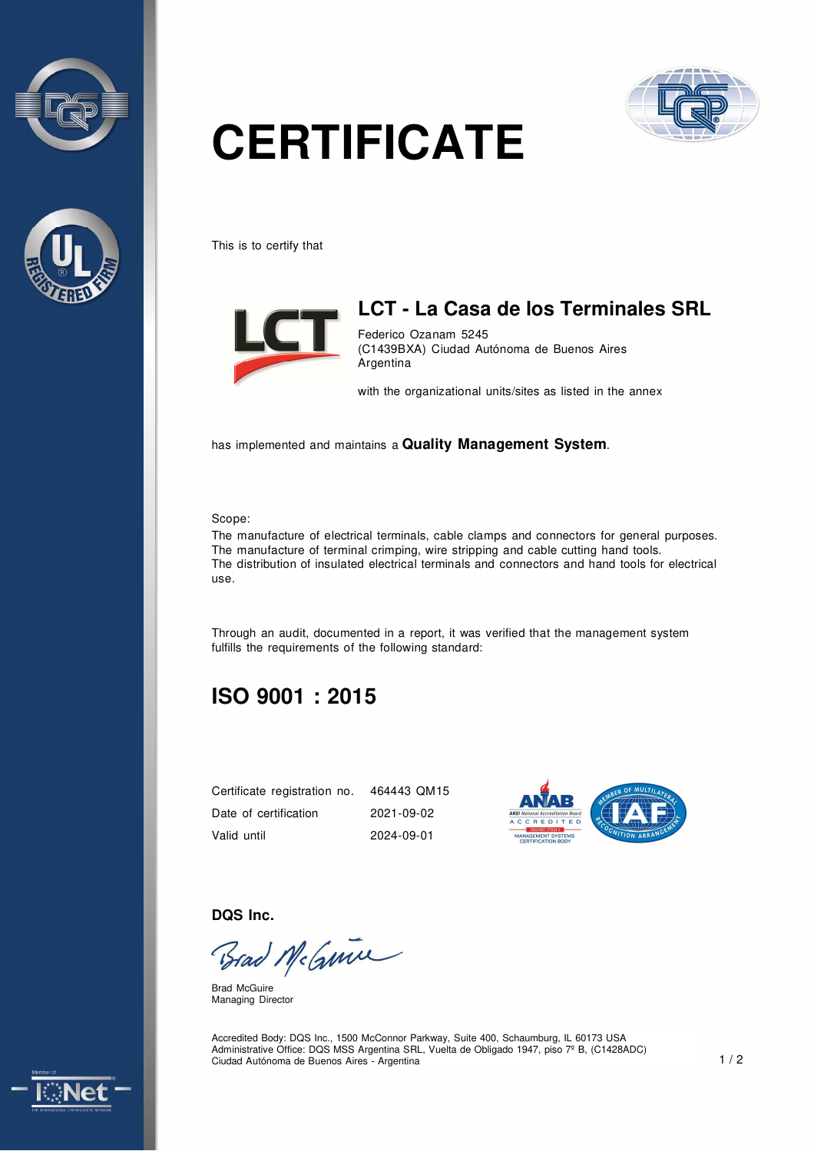



# **CERTIFICATE**



This is to certify that



#### **LCT - La Casa de los Terminales SRL**

Federico Ozanam 5245 (C1439BXA) Ciudad Autónoma de Buenos Aires Argentina

with the organizational units/sites as listed in the annex

has implemented and maintains a **Quality Management System**.

#### Scope:

The manufacture of electrical terminals, cable clamps and connectors for general purposes. The manufacture of terminal crimping, wire stripping and cable cutting hand tools. The distribution of insulated electrical terminals and connectors and hand tools for electrical use.

Through an audit, documented in a report, it was verified that the management system fulfills the requirements of the following standard:

### **ISO 9001 : 2015**

| Certificate registration no. | 464443 QM15 |
|------------------------------|-------------|
| Date of certification        | 2021-09-02  |
| Valid until                  | 2024-09-01  |



**DQS Inc.** 

Brad McGuine

Brad McGuire Managing Director

Accredited Body: DQS Inc., 1500 McConnor Parkway, Suite 400, Schaumburg, IL 60173 USA Administrative Office: DQS MSS Argentina SRL, Vuelta de Obligado 1947, piso 7º B, (C1428ADC) Ciudad Autónoma de Buenos Aires - Argentina 1 / 2